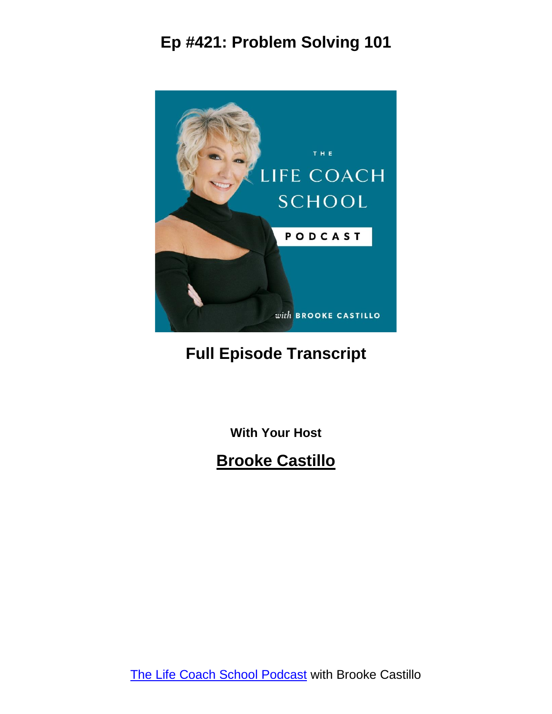

#### **Full Episode Transcript**

**With Your Host**

#### **Brooke Castillo**

The Life Coach School [Podcast](http://www.thelifecoachschool.com/) with Brooke Castillo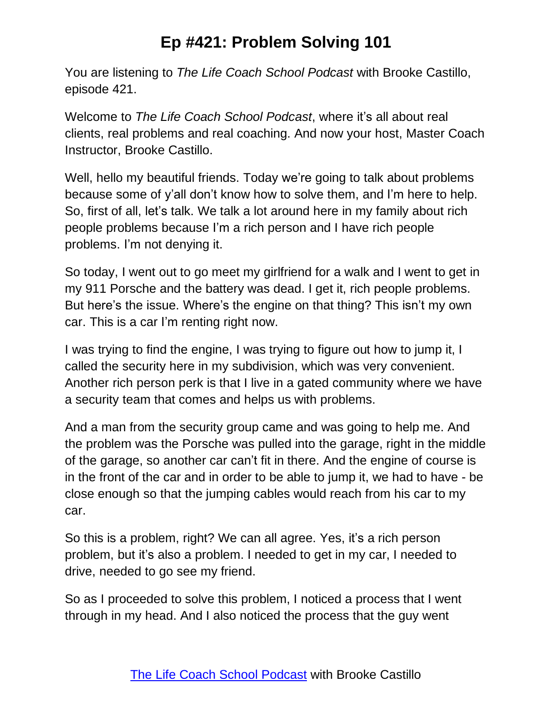You are listening to *The Life Coach School Podcast* with Brooke Castillo, episode 421.

Welcome to *The Life Coach School Podcast*, where it's all about real clients, real problems and real coaching. And now your host, Master Coach Instructor, Brooke Castillo.

Well, hello my beautiful friends. Today we're going to talk about problems because some of y'all don't know how to solve them, and I'm here to help. So, first of all, let's talk. We talk a lot around here in my family about rich people problems because I'm a rich person and I have rich people problems. I'm not denying it.

So today, I went out to go meet my girlfriend for a walk and I went to get in my 911 Porsche and the battery was dead. I get it, rich people problems. But here's the issue. Where's the engine on that thing? This isn't my own car. This is a car I'm renting right now.

I was trying to find the engine, I was trying to figure out how to jump it, I called the security here in my subdivision, which was very convenient. Another rich person perk is that I live in a gated community where we have a security team that comes and helps us with problems.

And a man from the security group came and was going to help me. And the problem was the Porsche was pulled into the garage, right in the middle of the garage, so another car can't fit in there. And the engine of course is in the front of the car and in order to be able to jump it, we had to have - be close enough so that the jumping cables would reach from his car to my car.

So this is a problem, right? We can all agree. Yes, it's a rich person problem, but it's also a problem. I needed to get in my car, I needed to drive, needed to go see my friend.

So as I proceeded to solve this problem, I noticed a process that I went through in my head. And I also noticed the process that the guy went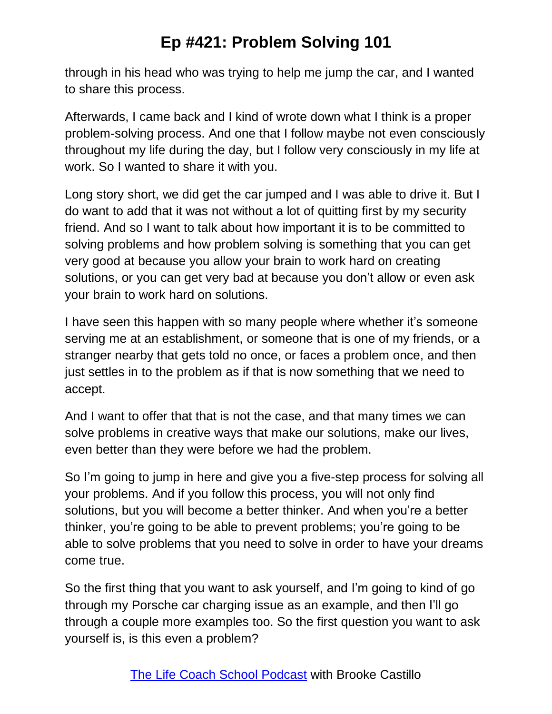through in his head who was trying to help me jump the car, and I wanted to share this process.

Afterwards, I came back and I kind of wrote down what I think is a proper problem-solving process. And one that I follow maybe not even consciously throughout my life during the day, but I follow very consciously in my life at work. So I wanted to share it with you.

Long story short, we did get the car jumped and I was able to drive it. But I do want to add that it was not without a lot of quitting first by my security friend. And so I want to talk about how important it is to be committed to solving problems and how problem solving is something that you can get very good at because you allow your brain to work hard on creating solutions, or you can get very bad at because you don't allow or even ask your brain to work hard on solutions.

I have seen this happen with so many people where whether it's someone serving me at an establishment, or someone that is one of my friends, or a stranger nearby that gets told no once, or faces a problem once, and then just settles in to the problem as if that is now something that we need to accept.

And I want to offer that that is not the case, and that many times we can solve problems in creative ways that make our solutions, make our lives, even better than they were before we had the problem.

So I'm going to jump in here and give you a five-step process for solving all your problems. And if you follow this process, you will not only find solutions, but you will become a better thinker. And when you're a better thinker, you're going to be able to prevent problems; you're going to be able to solve problems that you need to solve in order to have your dreams come true.

So the first thing that you want to ask yourself, and I'm going to kind of go through my Porsche car charging issue as an example, and then I'll go through a couple more examples too. So the first question you want to ask yourself is, is this even a problem?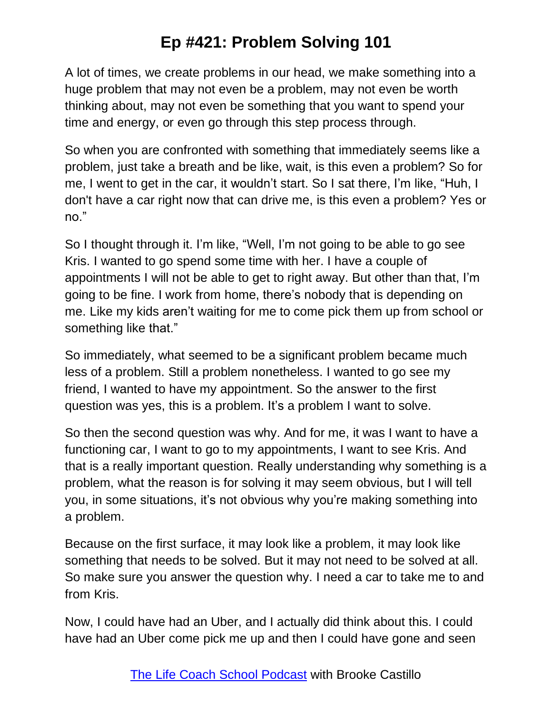A lot of times, we create problems in our head, we make something into a huge problem that may not even be a problem, may not even be worth thinking about, may not even be something that you want to spend your time and energy, or even go through this step process through.

So when you are confronted with something that immediately seems like a problem, just take a breath and be like, wait, is this even a problem? So for me, I went to get in the car, it wouldn't start. So I sat there, I'm like, "Huh, I don't have a car right now that can drive me, is this even a problem? Yes or no."

So I thought through it. I'm like, "Well, I'm not going to be able to go see Kris. I wanted to go spend some time with her. I have a couple of appointments I will not be able to get to right away. But other than that, I'm going to be fine. I work from home, there's nobody that is depending on me. Like my kids aren't waiting for me to come pick them up from school or something like that."

So immediately, what seemed to be a significant problem became much less of a problem. Still a problem nonetheless. I wanted to go see my friend, I wanted to have my appointment. So the answer to the first question was yes, this is a problem. It's a problem I want to solve.

So then the second question was why. And for me, it was I want to have a functioning car, I want to go to my appointments, I want to see Kris. And that is a really important question. Really understanding why something is a problem, what the reason is for solving it may seem obvious, but I will tell you, in some situations, it's not obvious why you're making something into a problem.

Because on the first surface, it may look like a problem, it may look like something that needs to be solved. But it may not need to be solved at all. So make sure you answer the question why. I need a car to take me to and from Kris.

Now, I could have had an Uber, and I actually did think about this. I could have had an Uber come pick me up and then I could have gone and seen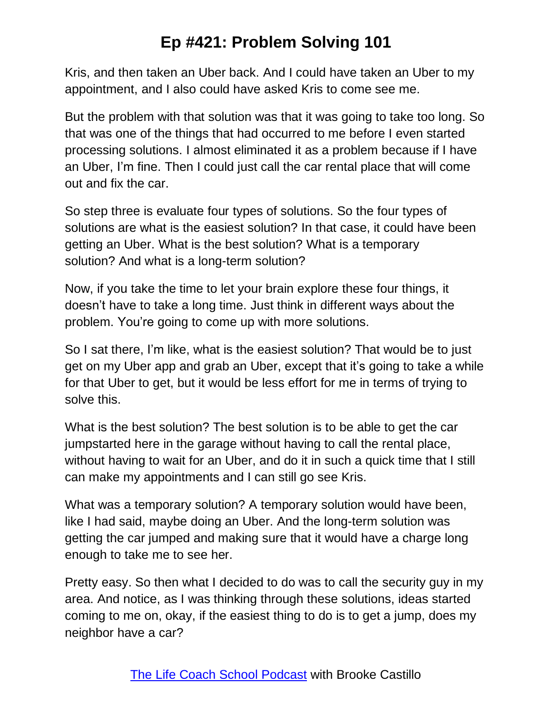Kris, and then taken an Uber back. And I could have taken an Uber to my appointment, and I also could have asked Kris to come see me.

But the problem with that solution was that it was going to take too long. So that was one of the things that had occurred to me before I even started processing solutions. I almost eliminated it as a problem because if I have an Uber, I'm fine. Then I could just call the car rental place that will come out and fix the car.

So step three is evaluate four types of solutions. So the four types of solutions are what is the easiest solution? In that case, it could have been getting an Uber. What is the best solution? What is a temporary solution? And what is a long-term solution?

Now, if you take the time to let your brain explore these four things, it doesn't have to take a long time. Just think in different ways about the problem. You're going to come up with more solutions.

So I sat there, I'm like, what is the easiest solution? That would be to just get on my Uber app and grab an Uber, except that it's going to take a while for that Uber to get, but it would be less effort for me in terms of trying to solve this.

What is the best solution? The best solution is to be able to get the car jumpstarted here in the garage without having to call the rental place, without having to wait for an Uber, and do it in such a quick time that I still can make my appointments and I can still go see Kris.

What was a temporary solution? A temporary solution would have been, like I had said, maybe doing an Uber. And the long-term solution was getting the car jumped and making sure that it would have a charge long enough to take me to see her.

Pretty easy. So then what I decided to do was to call the security guy in my area. And notice, as I was thinking through these solutions, ideas started coming to me on, okay, if the easiest thing to do is to get a jump, does my neighbor have a car?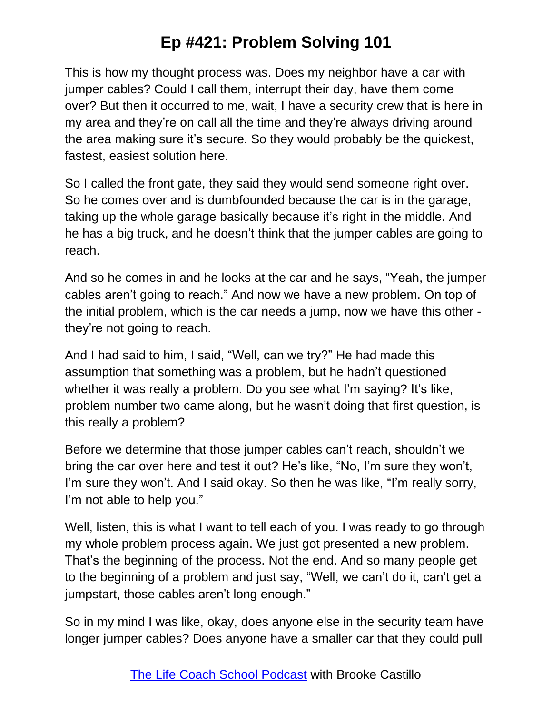This is how my thought process was. Does my neighbor have a car with jumper cables? Could I call them, interrupt their day, have them come over? But then it occurred to me, wait, I have a security crew that is here in my area and they're on call all the time and they're always driving around the area making sure it's secure. So they would probably be the quickest, fastest, easiest solution here.

So I called the front gate, they said they would send someone right over. So he comes over and is dumbfounded because the car is in the garage, taking up the whole garage basically because it's right in the middle. And he has a big truck, and he doesn't think that the jumper cables are going to reach.

And so he comes in and he looks at the car and he says, "Yeah, the jumper cables aren't going to reach." And now we have a new problem. On top of the initial problem, which is the car needs a jump, now we have this other they're not going to reach.

And I had said to him, I said, "Well, can we try?" He had made this assumption that something was a problem, but he hadn't questioned whether it was really a problem. Do you see what I'm saying? It's like, problem number two came along, but he wasn't doing that first question, is this really a problem?

Before we determine that those jumper cables can't reach, shouldn't we bring the car over here and test it out? He's like, "No, I'm sure they won't, I'm sure they won't. And I said okay. So then he was like, "I'm really sorry, I'm not able to help you."

Well, listen, this is what I want to tell each of you. I was ready to go through my whole problem process again. We just got presented a new problem. That's the beginning of the process. Not the end. And so many people get to the beginning of a problem and just say, "Well, we can't do it, can't get a jumpstart, those cables aren't long enough."

So in my mind I was like, okay, does anyone else in the security team have longer jumper cables? Does anyone have a smaller car that they could pull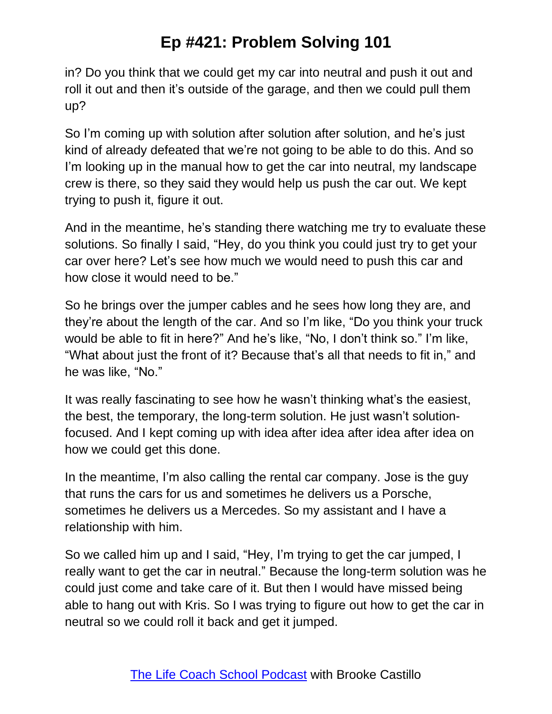in? Do you think that we could get my car into neutral and push it out and roll it out and then it's outside of the garage, and then we could pull them up?

So I'm coming up with solution after solution after solution, and he's just kind of already defeated that we're not going to be able to do this. And so I'm looking up in the manual how to get the car into neutral, my landscape crew is there, so they said they would help us push the car out. We kept trying to push it, figure it out.

And in the meantime, he's standing there watching me try to evaluate these solutions. So finally I said, "Hey, do you think you could just try to get your car over here? Let's see how much we would need to push this car and how close it would need to be."

So he brings over the jumper cables and he sees how long they are, and they're about the length of the car. And so I'm like, "Do you think your truck would be able to fit in here?" And he's like, "No, I don't think so." I'm like, "What about just the front of it? Because that's all that needs to fit in," and he was like, "No."

It was really fascinating to see how he wasn't thinking what's the easiest, the best, the temporary, the long-term solution. He just wasn't solutionfocused. And I kept coming up with idea after idea after idea after idea on how we could get this done.

In the meantime, I'm also calling the rental car company. Jose is the guy that runs the cars for us and sometimes he delivers us a Porsche, sometimes he delivers us a Mercedes. So my assistant and I have a relationship with him.

So we called him up and I said, "Hey, I'm trying to get the car jumped, I really want to get the car in neutral." Because the long-term solution was he could just come and take care of it. But then I would have missed being able to hang out with Kris. So I was trying to figure out how to get the car in neutral so we could roll it back and get it jumped.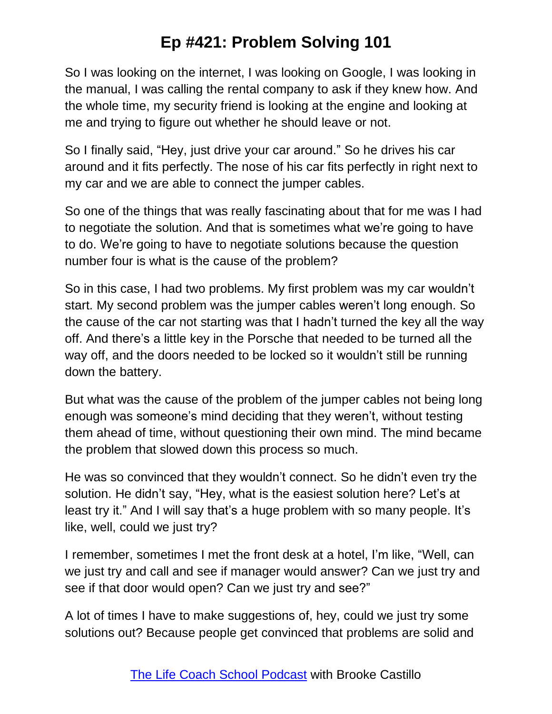So I was looking on the internet, I was looking on Google, I was looking in the manual, I was calling the rental company to ask if they knew how. And the whole time, my security friend is looking at the engine and looking at me and trying to figure out whether he should leave or not.

So I finally said, "Hey, just drive your car around." So he drives his car around and it fits perfectly. The nose of his car fits perfectly in right next to my car and we are able to connect the jumper cables.

So one of the things that was really fascinating about that for me was I had to negotiate the solution. And that is sometimes what we're going to have to do. We're going to have to negotiate solutions because the question number four is what is the cause of the problem?

So in this case, I had two problems. My first problem was my car wouldn't start. My second problem was the jumper cables weren't long enough. So the cause of the car not starting was that I hadn't turned the key all the way off. And there's a little key in the Porsche that needed to be turned all the way off, and the doors needed to be locked so it wouldn't still be running down the battery.

But what was the cause of the problem of the jumper cables not being long enough was someone's mind deciding that they weren't, without testing them ahead of time, without questioning their own mind. The mind became the problem that slowed down this process so much.

He was so convinced that they wouldn't connect. So he didn't even try the solution. He didn't say, "Hey, what is the easiest solution here? Let's at least try it." And I will say that's a huge problem with so many people. It's like, well, could we just try?

I remember, sometimes I met the front desk at a hotel, I'm like, "Well, can we just try and call and see if manager would answer? Can we just try and see if that door would open? Can we just try and see?"

A lot of times I have to make suggestions of, hey, could we just try some solutions out? Because people get convinced that problems are solid and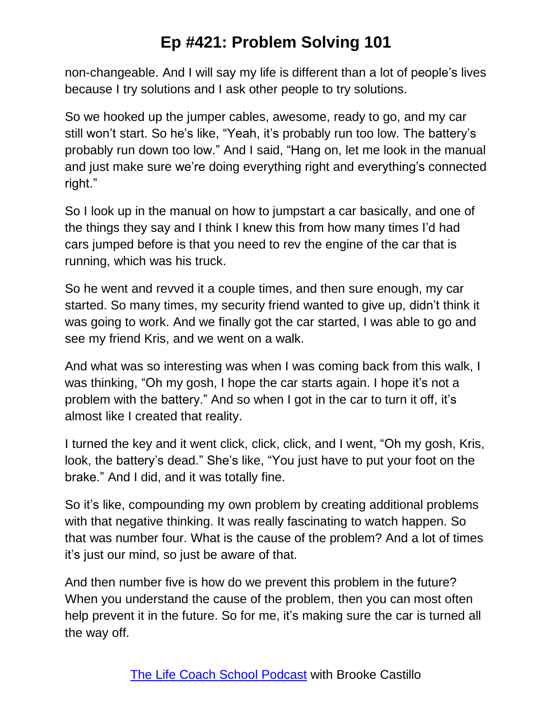non-changeable. And I will say my life is different than a lot of people's lives because I try solutions and I ask other people to try solutions.

So we hooked up the jumper cables, awesome, ready to go, and my car still won't start. So he's like, "Yeah, it's probably run too low. The battery's probably run down too low." And I said, "Hang on, let me look in the manual and just make sure we're doing everything right and everything's connected right."

So I look up in the manual on how to jumpstart a car basically, and one of the things they say and I think I knew this from how many times I'd had cars jumped before is that you need to rev the engine of the car that is running, which was his truck.

So he went and revved it a couple times, and then sure enough, my car started. So many times, my security friend wanted to give up, didn't think it was going to work. And we finally got the car started, I was able to go and see my friend Kris, and we went on a walk.

And what was so interesting was when I was coming back from this walk, I was thinking, "Oh my gosh, I hope the car starts again. I hope it's not a problem with the battery." And so when I got in the car to turn it off, it's almost like I created that reality.

I turned the key and it went click, click, click, and I went, "Oh my gosh, Kris, look, the battery's dead." She's like, "You just have to put your foot on the brake." And I did, and it was totally fine.

So it's like, compounding my own problem by creating additional problems with that negative thinking. It was really fascinating to watch happen. So that was number four. What is the cause of the problem? And a lot of times it's just our mind, so just be aware of that.

And then number five is how do we prevent this problem in the future? When you understand the cause of the problem, then you can most often help prevent it in the future. So for me, it's making sure the car is turned all the way off.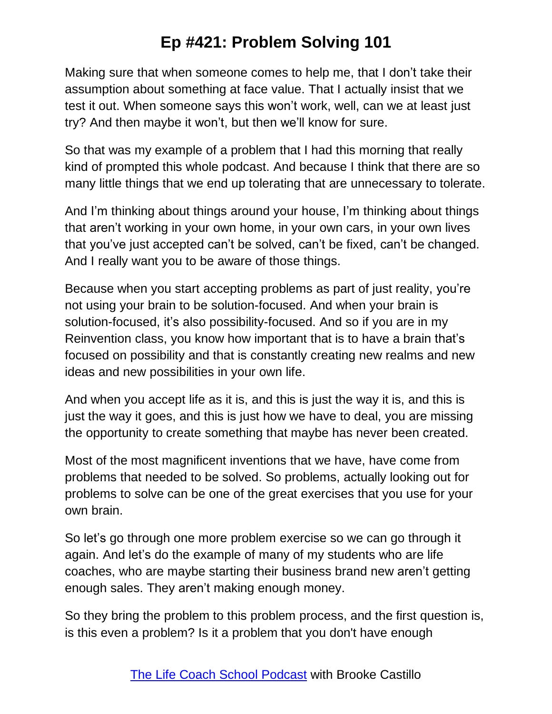Making sure that when someone comes to help me, that I don't take their assumption about something at face value. That I actually insist that we test it out. When someone says this won't work, well, can we at least just try? And then maybe it won't, but then we'll know for sure.

So that was my example of a problem that I had this morning that really kind of prompted this whole podcast. And because I think that there are so many little things that we end up tolerating that are unnecessary to tolerate.

And I'm thinking about things around your house, I'm thinking about things that aren't working in your own home, in your own cars, in your own lives that you've just accepted can't be solved, can't be fixed, can't be changed. And I really want you to be aware of those things.

Because when you start accepting problems as part of just reality, you're not using your brain to be solution-focused. And when your brain is solution-focused, it's also possibility-focused. And so if you are in my Reinvention class, you know how important that is to have a brain that's focused on possibility and that is constantly creating new realms and new ideas and new possibilities in your own life.

And when you accept life as it is, and this is just the way it is, and this is just the way it goes, and this is just how we have to deal, you are missing the opportunity to create something that maybe has never been created.

Most of the most magnificent inventions that we have, have come from problems that needed to be solved. So problems, actually looking out for problems to solve can be one of the great exercises that you use for your own brain.

So let's go through one more problem exercise so we can go through it again. And let's do the example of many of my students who are life coaches, who are maybe starting their business brand new aren't getting enough sales. They aren't making enough money.

So they bring the problem to this problem process, and the first question is, is this even a problem? Is it a problem that you don't have enough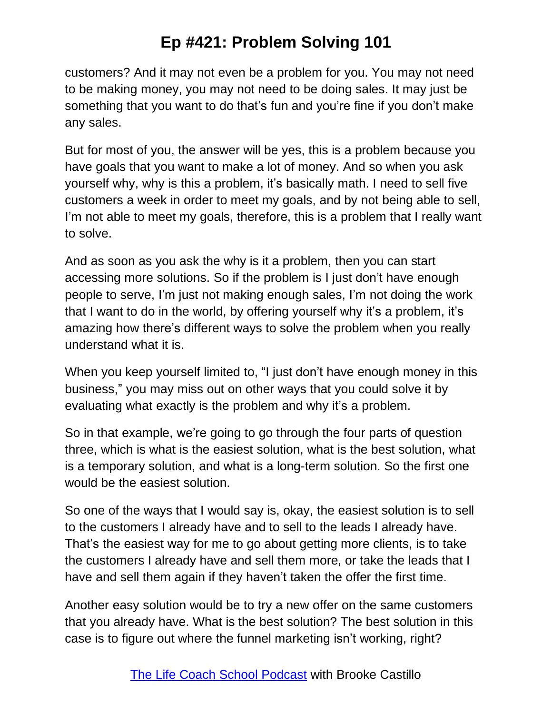customers? And it may not even be a problem for you. You may not need to be making money, you may not need to be doing sales. It may just be something that you want to do that's fun and you're fine if you don't make any sales.

But for most of you, the answer will be yes, this is a problem because you have goals that you want to make a lot of money. And so when you ask yourself why, why is this a problem, it's basically math. I need to sell five customers a week in order to meet my goals, and by not being able to sell, I'm not able to meet my goals, therefore, this is a problem that I really want to solve.

And as soon as you ask the why is it a problem, then you can start accessing more solutions. So if the problem is I just don't have enough people to serve, I'm just not making enough sales, I'm not doing the work that I want to do in the world, by offering yourself why it's a problem, it's amazing how there's different ways to solve the problem when you really understand what it is.

When you keep yourself limited to, "I just don't have enough money in this business," you may miss out on other ways that you could solve it by evaluating what exactly is the problem and why it's a problem.

So in that example, we're going to go through the four parts of question three, which is what is the easiest solution, what is the best solution, what is a temporary solution, and what is a long-term solution. So the first one would be the easiest solution.

So one of the ways that I would say is, okay, the easiest solution is to sell to the customers I already have and to sell to the leads I already have. That's the easiest way for me to go about getting more clients, is to take the customers I already have and sell them more, or take the leads that I have and sell them again if they haven't taken the offer the first time.

Another easy solution would be to try a new offer on the same customers that you already have. What is the best solution? The best solution in this case is to figure out where the funnel marketing isn't working, right?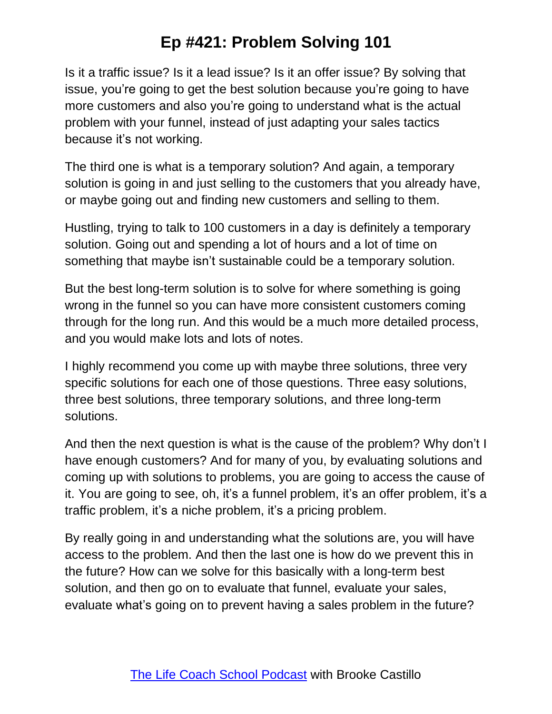Is it a traffic issue? Is it a lead issue? Is it an offer issue? By solving that issue, you're going to get the best solution because you're going to have more customers and also you're going to understand what is the actual problem with your funnel, instead of just adapting your sales tactics because it's not working.

The third one is what is a temporary solution? And again, a temporary solution is going in and just selling to the customers that you already have, or maybe going out and finding new customers and selling to them.

Hustling, trying to talk to 100 customers in a day is definitely a temporary solution. Going out and spending a lot of hours and a lot of time on something that maybe isn't sustainable could be a temporary solution.

But the best long-term solution is to solve for where something is going wrong in the funnel so you can have more consistent customers coming through for the long run. And this would be a much more detailed process, and you would make lots and lots of notes.

I highly recommend you come up with maybe three solutions, three very specific solutions for each one of those questions. Three easy solutions, three best solutions, three temporary solutions, and three long-term solutions.

And then the next question is what is the cause of the problem? Why don't I have enough customers? And for many of you, by evaluating solutions and coming up with solutions to problems, you are going to access the cause of it. You are going to see, oh, it's a funnel problem, it's an offer problem, it's a traffic problem, it's a niche problem, it's a pricing problem.

By really going in and understanding what the solutions are, you will have access to the problem. And then the last one is how do we prevent this in the future? How can we solve for this basically with a long-term best solution, and then go on to evaluate that funnel, evaluate your sales, evaluate what's going on to prevent having a sales problem in the future?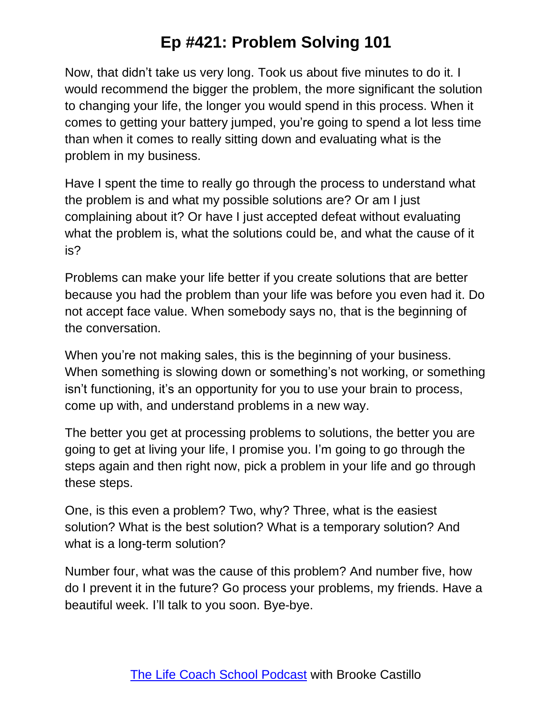Now, that didn't take us very long. Took us about five minutes to do it. I would recommend the bigger the problem, the more significant the solution to changing your life, the longer you would spend in this process. When it comes to getting your battery jumped, you're going to spend a lot less time than when it comes to really sitting down and evaluating what is the problem in my business.

Have I spent the time to really go through the process to understand what the problem is and what my possible solutions are? Or am I just complaining about it? Or have I just accepted defeat without evaluating what the problem is, what the solutions could be, and what the cause of it is?

Problems can make your life better if you create solutions that are better because you had the problem than your life was before you even had it. Do not accept face value. When somebody says no, that is the beginning of the conversation.

When you're not making sales, this is the beginning of your business. When something is slowing down or something's not working, or something isn't functioning, it's an opportunity for you to use your brain to process, come up with, and understand problems in a new way.

The better you get at processing problems to solutions, the better you are going to get at living your life, I promise you. I'm going to go through the steps again and then right now, pick a problem in your life and go through these steps.

One, is this even a problem? Two, why? Three, what is the easiest solution? What is the best solution? What is a temporary solution? And what is a long-term solution?

Number four, what was the cause of this problem? And number five, how do I prevent it in the future? Go process your problems, my friends. Have a beautiful week. I'll talk to you soon. Bye-bye.